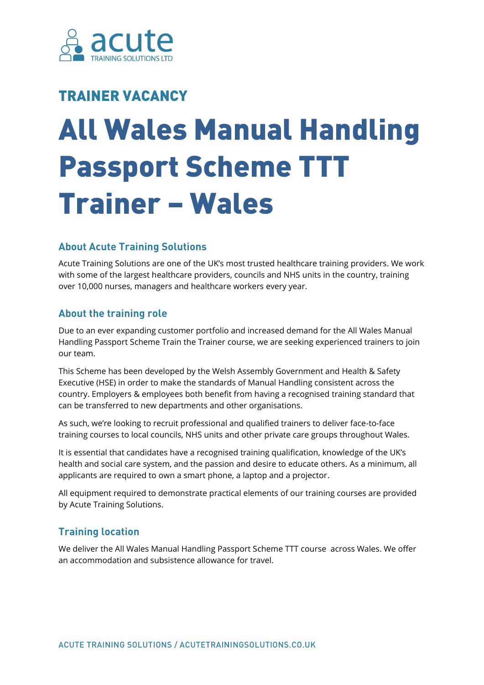

# TRAINER VACANCY

# All Wales Manual Handling Passport Scheme TTT Trainer – Wales

## **About Acute Training Solutions**

Acute Training Solutions are one of the UK's most trusted healthcare training providers. We work with some of the largest healthcare providers, councils and NHS units in the country, training over 10,000 nurses, managers and healthcare workers every year.

# **About the training role**

Due to an ever expanding customer portfolio and increased demand for the All Wales Manual Handling Passport Scheme Train the Trainer course, we are seeking experienced trainers to join our team.

This Scheme has been developed by the Welsh Assembly Government and Health & Safety Executive (HSE) in order to make the standards of Manual Handling consistent across the country. Employers & employees both benefit from having a recognised training standard that can be transferred to new departments and other organisations.

As such, we're looking to recruit professional and qualified trainers to deliver face-to-face training courses to local councils, NHS units and other private care groups throughout Wales.

It is essential that candidates have a recognised training qualification, knowledge of the UK's health and social care system, and the passion and desire to educate others. As a minimum, all applicants are required to own a smart phone, a laptop and a projector.

All equipment required to demonstrate practical elements of our training courses are provided by Acute Training Solutions.

## **Training location**

We deliver the All Wales Manual Handling Passport Scheme TTT course across Wales. We offer an accommodation and subsistence allowance for travel.